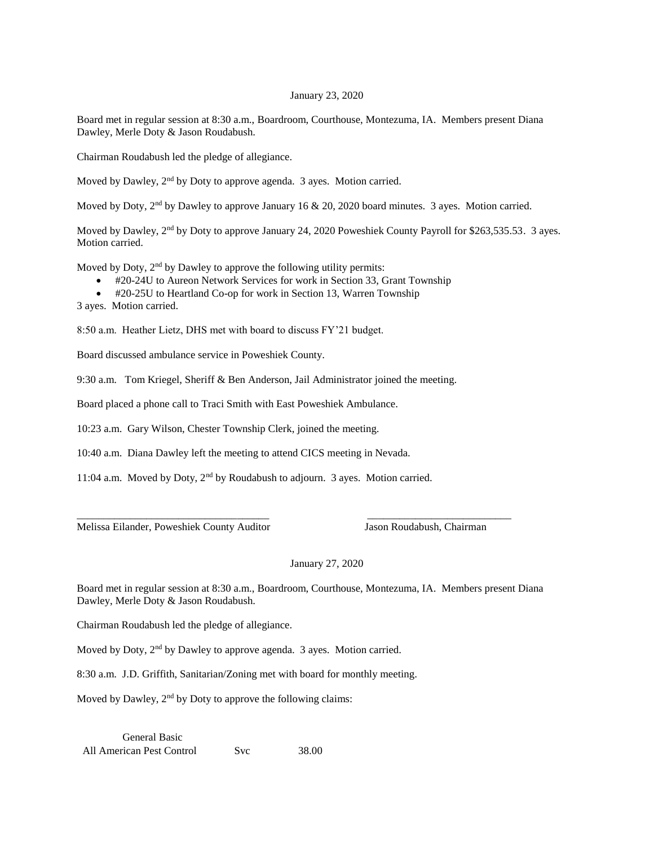## January 23, 2020

Board met in regular session at 8:30 a.m., Boardroom, Courthouse, Montezuma, IA. Members present Diana Dawley, Merle Doty & Jason Roudabush.

Chairman Roudabush led the pledge of allegiance.

Moved by Dawley, 2nd by Doty to approve agenda. 3 ayes. Motion carried.

Moved by Doty, 2<sup>nd</sup> by Dawley to approve January 16 & 20, 2020 board minutes. 3 ayes. Motion carried.

Moved by Dawley, 2<sup>nd</sup> by Doty to approve January 24, 2020 Poweshiek County Payroll for \$263,535.53. 3 ayes. Motion carried.

Moved by Doty,  $2<sup>nd</sup>$  by Dawley to approve the following utility permits:

- #20-24U to Aureon Network Services for work in Section 33, Grant Township
- #20-25U to Heartland Co-op for work in Section 13, Warren Township

3 ayes. Motion carried.

8:50 a.m. Heather Lietz, DHS met with board to discuss FY'21 budget.

Board discussed ambulance service in Poweshiek County.

9:30 a.m. Tom Kriegel, Sheriff & Ben Anderson, Jail Administrator joined the meeting.

Board placed a phone call to Traci Smith with East Poweshiek Ambulance.

10:23 a.m. Gary Wilson, Chester Township Clerk, joined the meeting.

10:40 a.m. Diana Dawley left the meeting to attend CICS meeting in Nevada.

11:04 a.m. Moved by Doty, 2nd by Roudabush to adjourn. 3 ayes. Motion carried.

Melissa Eilander, Poweshiek County Auditor Jason Roudabush, Chairman

## January 27, 2020

Board met in regular session at 8:30 a.m., Boardroom, Courthouse, Montezuma, IA. Members present Diana Dawley, Merle Doty & Jason Roudabush.

\_\_\_\_\_\_\_\_\_\_\_\_\_\_\_\_\_\_\_\_\_\_\_\_\_\_\_\_\_\_\_\_\_\_\_\_ \_\_\_\_\_\_\_\_\_\_\_\_\_\_\_\_\_\_\_\_\_\_\_\_\_\_\_

Chairman Roudabush led the pledge of allegiance.

Moved by Doty, 2<sup>nd</sup> by Dawley to approve agenda. 3 ayes. Motion carried.

8:30 a.m. J.D. Griffith, Sanitarian/Zoning met with board for monthly meeting.

Moved by Dawley,  $2<sup>nd</sup>$  by Doty to approve the following claims:

General Basic All American Pest Control Svc 38.00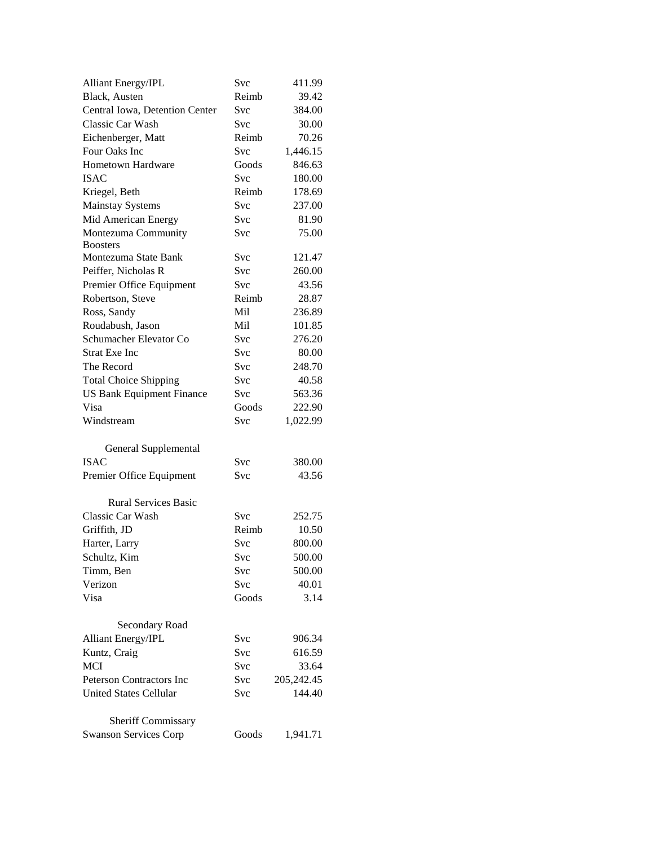| <b>Alliant Energy/IPL</b>        | Svc        | 411.99     |
|----------------------------------|------------|------------|
| Black, Austen                    | Reimb      | 39.42      |
| Central Iowa, Detention Center   | Svc        | 384.00     |
| Classic Car Wash                 | Svc        | 30.00      |
| Eichenberger, Matt               | Reimb      | 70.26      |
| Four Oaks Inc                    | <b>Svc</b> | 1,446.15   |
| Hometown Hardware                | Goods      | 846.63     |
| <b>ISAC</b>                      | Svc        | 180.00     |
| Kriegel, Beth                    | Reimb      | 178.69     |
| <b>Mainstay Systems</b>          | <b>Svc</b> | 237.00     |
| Mid American Energy              | Svc        | 81.90      |
| Montezuma Community              | <b>Svc</b> | 75.00      |
| <b>Boosters</b>                  |            |            |
| Montezuma State Bank             | Svc        | 121.47     |
| Peiffer, Nicholas R              | Svc        | 260.00     |
| Premier Office Equipment         | <b>Svc</b> | 43.56      |
| Robertson, Steve                 | Reimb      | 28.87      |
| Ross, Sandy                      | Mil        | 236.89     |
| Roudabush, Jason                 | Mil        | 101.85     |
| Schumacher Elevator Co           | <b>Svc</b> | 276.20     |
| <b>Strat Exe Inc</b>             | Svc        | 80.00      |
| The Record                       | Svc        | 248.70     |
| <b>Total Choice Shipping</b>     | <b>Svc</b> | 40.58      |
| <b>US Bank Equipment Finance</b> | Svc        | 563.36     |
| Visa                             | Goods      | 222.90     |
| Windstream                       | Svc        | 1,022.99   |
| General Supplemental             |            |            |
| <b>ISAC</b>                      | Svc        | 380.00     |
| Premier Office Equipment         | Svc        | 43.56      |
|                                  |            |            |
| <b>Rural Services Basic</b>      |            |            |
| Classic Car Wash                 | Svc        | 252.75     |
| Griffith, JD                     | Reimb      | 10.50      |
| Harter, Larry                    | Svc        | 800.00     |
| Schultz, Kim                     | Svc        | 500.00     |
| Timm, Ben                        | Svc        | 500.00     |
| Verizon                          | Svc        | 40.01      |
| Visa                             | Goods      | 3.14       |
| Secondary Road                   |            |            |
| Alliant Energy/IPL               | Svc        | 906.34     |
| Kuntz, Craig                     | Svc        | 616.59     |
| <b>MCI</b>                       | Svc        | 33.64      |
| <b>Peterson Contractors Inc</b>  | Svc        | 205,242.45 |
| <b>United States Cellular</b>    | Svc        | 144.40     |
|                                  |            |            |
| <b>Sheriff Commissary</b>        |            |            |
| <b>Swanson Services Corp</b>     | Goods      | 1,941.71   |